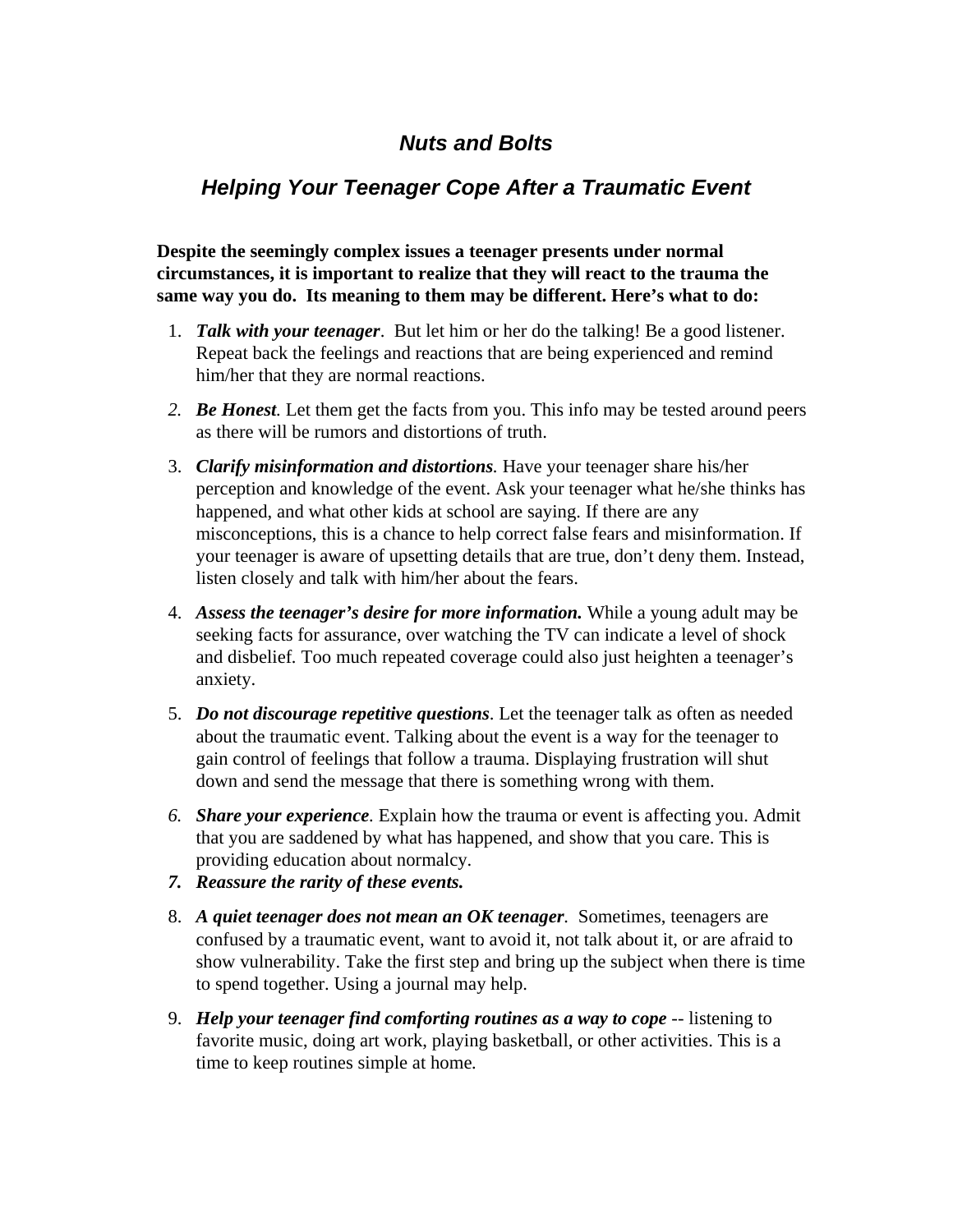## *Nuts and Bolts*

## *Helping Your Teenager Cope After a Traumatic Event*

**Despite the seemingly complex issues a teenager presents under normal circumstances, it is important to realize that they will react to the trauma the same way you do. Its meaning to them may be different. Here's what to do:** 

- 1. *Talk with your teenager*. But let him or her do the talking! Be a good listener. Repeat back the feelings and reactions that are being experienced and remind him/her that they are normal reactions.
- *2. Be Honest.* Let them get the facts from you. This info may be tested around peers as there will be rumors and distortions of truth.
- 3. *Clarify misinformation and distortions.* Have your teenager share his/her perception and knowledge of the event. Ask your teenager what he/she thinks has happened, and what other kids at school are saying. If there are any misconceptions, this is a chance to help correct false fears and misinformation. If your teenager is aware of upsetting details that are true, don't deny them. Instead, listen closely and talk with him/her about the fears.
- 4. *Assess the teenager's desire for more information.* While a young adult may be seeking facts for assurance, over watching the TV can indicate a level of shock and disbelief*.* Too much repeated coverage could also just heighten a teenager's anxiety.
- 5. *Do not discourage repetitive questions*. Let the teenager talk as often as needed about the traumatic event. Talking about the event is a way for the teenager to gain control of feelings that follow a trauma. Displaying frustration will shut down and send the message that there is something wrong with them.
- *6. Share your experience.* Explain how the trauma or event is affecting you. Admit that you are saddened by what has happened, and show that you care. This is providing education about normalcy.
- *7. Reassure the rarity of these events.*
- 8. *A quiet teenager does not mean an OK teenager.* Sometimes, teenagers are confused by a traumatic event, want to avoid it, not talk about it, or are afraid to show vulnerability. Take the first step and bring up the subject when there is time to spend together. Using a journal may help.
- 9. *Help your teenager find comforting routines as a way to cope --* listening to favorite music, doing art work, playing basketball, or other activities. This is a time to keep routines simple at home*.*